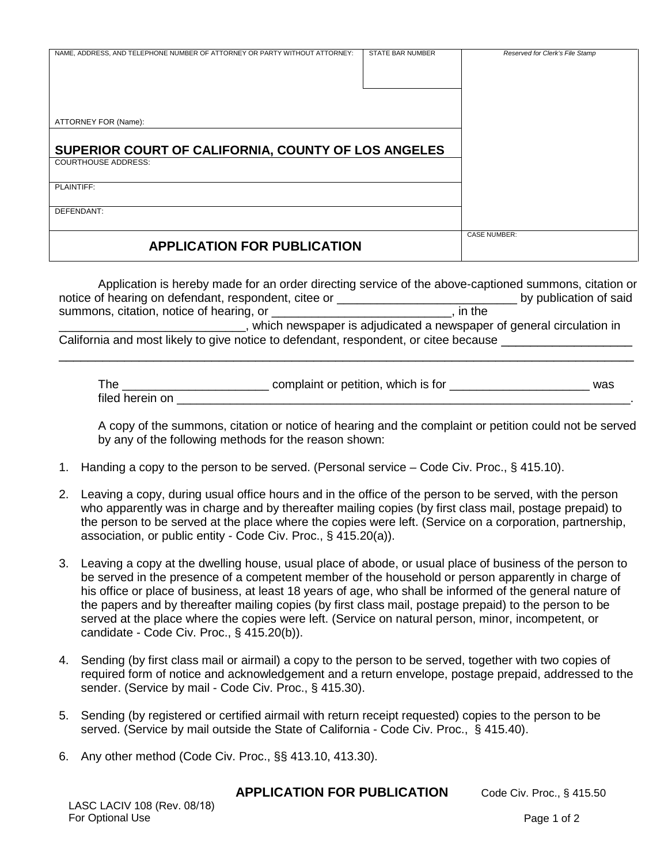| NAME, ADDRESS, AND TELEPHONE NUMBER OF ATTORNEY OR PARTY WITHOUT ATTORNEY: | <b>STATE BAR NUMBER</b> | Reserved for Clerk's File Stamp |
|----------------------------------------------------------------------------|-------------------------|---------------------------------|
| ATTORNEY FOR (Name):                                                       |                         |                                 |
| SUPERIOR COURT OF CALIFORNIA, COUNTY OF LOS ANGELES                        |                         |                                 |
| <b>COURTHOUSE ADDRESS:</b>                                                 |                         |                                 |
| PLAINTIFF:                                                                 |                         |                                 |
| DEFENDANT:                                                                 |                         |                                 |
| <b>APPLICATION FOR PUBLICATION</b>                                         |                         | <b>CASE NUMBER:</b>             |

| Application is hereby made for an order directing service of the above-captioned summons, citation or |                                                                        |
|-------------------------------------------------------------------------------------------------------|------------------------------------------------------------------------|
| notice of hearing on defendant, respondent, citee or                                                  | by publication of said                                                 |
| summons, citation, notice of hearing, or                                                              | . in the                                                               |
|                                                                                                       | , which newspaper is adjudicated a newspaper of general circulation in |
| California and most likely to give notice to defendant, respondent, or citee because                  |                                                                        |

\_\_\_\_\_\_\_\_\_\_\_\_\_\_\_\_\_\_\_\_\_\_\_\_\_\_\_\_\_\_\_\_\_\_\_\_\_\_\_\_\_\_\_\_\_\_\_\_\_\_\_\_\_\_\_\_\_\_\_\_\_\_\_\_\_\_\_\_\_\_\_\_\_\_\_\_\_\_\_

| The             | complaint or petition, which is for | was |
|-----------------|-------------------------------------|-----|
| filed herein on |                                     |     |

A copy of the summons, citation or notice of hearing and the complaint or petition could not be served by any of the following methods for the reason shown:

- 1. Handing a copy to the person to be served. (Personal service Code Civ. Proc., § 415.10).
- 2. Leaving a copy, during usual office hours and in the office of the person to be served, with the person who apparently was in charge and by thereafter mailing copies (by first class mail, postage prepaid) to the person to be served at the place where the copies were left. (Service on a corporation, partnership, association, or public entity - Code Civ. Proc., § 415.20(a)).
- 3. Leaving a copy at the dwelling house, usual place of abode, or usual place of business of the person to be served in the presence of a competent member of the household or person apparently in charge of his office or place of business, at least 18 years of age, who shall be informed of the general nature of the papers and by thereafter mailing copies (by first class mail, postage prepaid) to the person to be served at the place where the copies were left. (Service on natural person, minor, incompetent, or candidate - Code Civ. Proc., § 415.20(b)).
- 4. Sending (by first class mail or airmail) a copy to the person to be served, together with two copies of required form of notice and acknowledgement and a return envelope, postage prepaid, addressed to the sender. (Service by mail - Code Civ. Proc., § 415.30).
- 5. Sending (by registered or certified airmail with return receipt requested) copies to the person to be served. (Service by mail outside the State of California - Code Civ. Proc., § 415.40).
- 6. Any other method (Code Civ. Proc., §§ 413.10, 413.30).